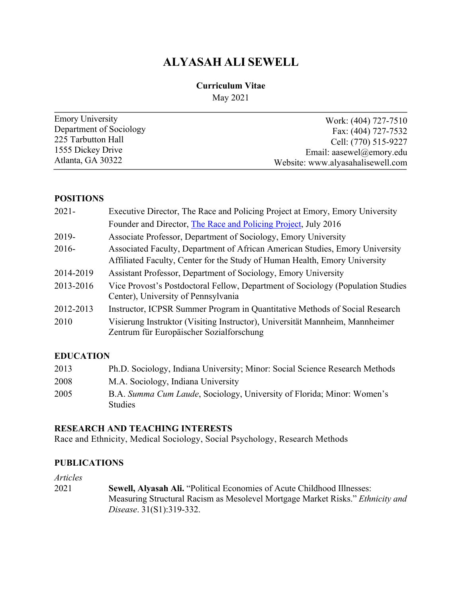# **ALYASAH ALI SEWELL**

### **Curriculum Vitae**

May 2021

| <b>Emory University</b> | Work: (404) 727-7510              |
|-------------------------|-----------------------------------|
| Department of Sociology | Fax: (404) 727-7532               |
| 225 Tarbutton Hall      | Cell: (770) 515-9227              |
| 1555 Dickey Drive       | Email: aasewel@emory.edu          |
| Atlanta, GA 30322       | Website: www.alyasahalisewell.com |

### **POSITIONS**

| Executive Director, The Race and Policing Project at Emory, Emory University                                             |
|--------------------------------------------------------------------------------------------------------------------------|
| Founder and Director, The Race and Policing Project, July 2016                                                           |
| Associate Professor, Department of Sociology, Emory University                                                           |
| Associated Faculty, Department of African American Studies, Emory University                                             |
| Affiliated Faculty, Center for the Study of Human Health, Emory University                                               |
| Assistant Professor, Department of Sociology, Emory University                                                           |
| Vice Provost's Postdoctoral Fellow, Department of Sociology (Population Studies)<br>Center), University of Pennsylvania  |
| Instructor, ICPSR Summer Program in Quantitative Methods of Social Research                                              |
| Visierung Instruktor (Visiting Instructor), Universität Mannheim, Mannheimer<br>Zentrum für Europäischer Sozialforschung |
|                                                                                                                          |

### **EDUCATION**

| 2013 | Ph.D. Sociology, Indiana University; Minor: Social Science Research Methods              |
|------|------------------------------------------------------------------------------------------|
| 2008 | M.A. Sociology, Indiana University                                                       |
| 2005 | B.A. Summa Cum Laude, Sociology, University of Florida; Minor: Women's<br><b>Studies</b> |

### **RESEARCH AND TEACHING INTERESTS**

Race and Ethnicity, Medical Sociology, Social Psychology, Research Methods

# **PUBLICATIONS**

*Articles* 2021 **Sewell, Alyasah Ali.** "Political Economies of Acute Childhood Illnesses: Measuring Structural Racism as Mesolevel Mortgage Market Risks." *Ethnicity and Disease*. 31(S1):319-332.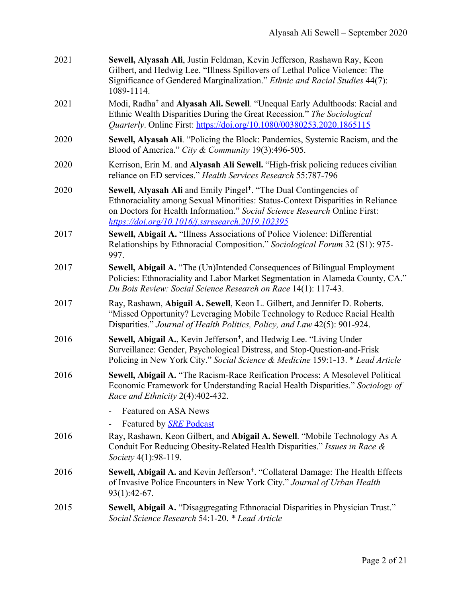| 2021 | Sewell, Alyasah Ali, Justin Feldman, Kevin Jefferson, Rashawn Ray, Keon<br>Gilbert, and Hedwig Lee. "Illness Spillovers of Lethal Police Violence: The<br>Significance of Gendered Marginalization." Ethnic and Racial Studies 44(7):<br>1089-1114.                                               |
|------|---------------------------------------------------------------------------------------------------------------------------------------------------------------------------------------------------------------------------------------------------------------------------------------------------|
| 2021 | Modi, Radha <sup>†</sup> and Alyasah Ali. Sewell. "Unequal Early Adulthoods: Racial and<br>Ethnic Wealth Disparities During the Great Recession." The Sociological<br>Quarterly. Online First: https://doi.org/10.1080/00380253.2020.1865115                                                      |
| 2020 | Sewell, Alyasah Ali. "Policing the Block: Pandemics, Systemic Racism, and the<br>Blood of America." City & Community 19(3):496-505.                                                                                                                                                               |
| 2020 | Kerrison, Erin M. and Alyasah Ali Sewell. "High-frisk policing reduces civilian<br>reliance on ED services." Health Services Research 55:787-796                                                                                                                                                  |
| 2020 | Sewell, Alyasah Ali and Emily Pingel <sup>t</sup> . "The Dual Contingencies of<br>Ethnoraciality among Sexual Minorities: Status-Context Disparities in Reliance<br>on Doctors for Health Information." Social Science Research Online First:<br>https://doi.org/10.1016/j.ssresearch.2019.102395 |
| 2017 | Sewell, Abigail A. "Illness Associations of Police Violence: Differential<br>Relationships by Ethnoracial Composition." Sociological Forum 32 (S1): 975-<br>997.                                                                                                                                  |
| 2017 | Sewell, Abigail A. "The (Un)Intended Consequences of Bilingual Employment<br>Policies: Ethnoraciality and Labor Market Segmentation in Alameda County, CA."<br>Du Bois Review: Social Science Research on Race 14(1): 117-43.                                                                     |
| 2017 | Ray, Rashawn, Abigail A. Sewell, Keon L. Gilbert, and Jennifer D. Roberts.<br>"Missed Opportunity? Leveraging Mobile Technology to Reduce Racial Health<br>Disparities." Journal of Health Politics, Policy, and Law 42(5): 901-924.                                                              |
| 2016 | Sewell, Abigail A., Kevin Jefferson <sup>†</sup> , and Hedwig Lee. "Living Under<br>Surveillance: Gender, Psychological Distress, and Stop-Question-and-Frisk<br>Policing in New York City." Social Science & Medicine 159:1-13. * Lead Article                                                   |
| 2016 | Sewell, Abigail A. "The Racism-Race Reification Process: A Mesolevel Political<br>Economic Framework for Understanding Racial Health Disparities." Sociology of<br>Race and Ethnicity 2(4):402-432.                                                                                               |
|      | <b>Featured on ASA News</b>                                                                                                                                                                                                                                                                       |
|      | Featured by <b>SRE Podcast</b><br>۰                                                                                                                                                                                                                                                               |
| 2016 | Ray, Rashawn, Keon Gilbert, and Abigail A. Sewell. "Mobile Technology As A<br>Conduit For Reducing Obesity-Related Health Disparities." Issues in Race &<br>Society 4(1):98-119.                                                                                                                  |
| 2016 | Sewell, Abigail A. and Kevin Jefferson <sup>†</sup> . "Collateral Damage: The Health Effects<br>of Invasive Police Encounters in New York City." Journal of Urban Health<br>93(1):42-67.                                                                                                          |
| 2015 | Sewell, Abigail A. "Disaggregating Ethnoracial Disparities in Physician Trust."<br>Social Science Research 54:1-20. * Lead Article                                                                                                                                                                |
|      |                                                                                                                                                                                                                                                                                                   |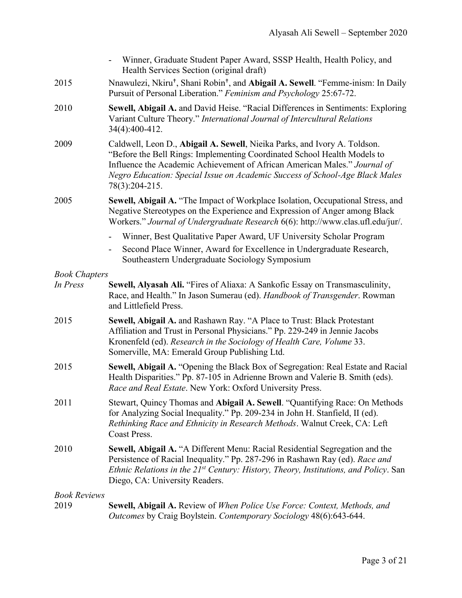|                      | Winner, Graduate Student Paper Award, SSSP Health, Health Policy, and<br>Health Services Section (original draft)                                                                                                                                                                                                                    |
|----------------------|--------------------------------------------------------------------------------------------------------------------------------------------------------------------------------------------------------------------------------------------------------------------------------------------------------------------------------------|
| 2015                 | Nnawulezi, Nkiru <sup>†</sup> , Shani Robin <sup>†</sup> , and Abigail A. Sewell. "Femme-inism: In Daily<br>Pursuit of Personal Liberation." Feminism and Psychology 25:67-72.                                                                                                                                                       |
| 2010                 | Sewell, Abigail A. and David Heise. "Racial Differences in Sentiments: Exploring<br>Variant Culture Theory." International Journal of Intercultural Relations<br>34(4):400-412.                                                                                                                                                      |
| 2009                 | Caldwell, Leon D., Abigail A. Sewell, Nieika Parks, and Ivory A. Toldson.<br>"Before the Bell Rings: Implementing Coordinated School Health Models to<br>Influence the Academic Achievement of African American Males." Journal of<br>Negro Education: Special Issue on Academic Success of School-Age Black Males<br>78(3):204-215. |
| 2005                 | Sewell, Abigail A. "The Impact of Workplace Isolation, Occupational Stress, and<br>Negative Stereotypes on the Experience and Expression of Anger among Black<br>Workers." Journal of Undergraduate Research 6(6): http://www.clas.ufl.edu/jur/.                                                                                     |
|                      | Winner, Best Qualitative Paper Award, UF University Scholar Program<br>$\overline{\phantom{m}}$<br>Second Place Winner, Award for Excellence in Undergraduate Research,<br>Southeastern Undergraduate Sociology Symposium                                                                                                            |
| <b>Book Chapters</b> |                                                                                                                                                                                                                                                                                                                                      |
| In Press             | Sewell, Alyasah Ali. "Fires of Aliaxa: A Sankofic Essay on Transmasculinity,<br>Race, and Health." In Jason Sumerau (ed). Handbook of Transgender. Rowman<br>and Littlefield Press.                                                                                                                                                  |
| 2015                 | Sewell, Abigail A. and Rashawn Ray. "A Place to Trust: Black Protestant<br>Affiliation and Trust in Personal Physicians." Pp. 229-249 in Jennie Jacobs<br>Kronenfeld (ed). Research in the Sociology of Health Care, Volume 33.<br>Somerville, MA: Emerald Group Publishing Ltd.                                                     |
| 2015                 | Sewell, Abigail A. "Opening the Black Box of Segregation: Real Estate and Racial<br>Health Disparities." Pp. 87-105 in Adrienne Brown and Valerie B. Smith (eds).<br>Race and Real Estate. New York: Oxford University Press.                                                                                                        |
| 2011                 | Stewart, Quincy Thomas and Abigail A. Sewell. "Quantifying Race: On Methods<br>for Analyzing Social Inequality." Pp. 209-234 in John H. Stanfield, II (ed).<br>Rethinking Race and Ethnicity in Research Methods. Walnut Creek, CA: Left<br><b>Coast Press.</b>                                                                      |
| 2010                 | Sewell, Abigail A. "A Different Menu: Racial Residential Segregation and the<br>Persistence of Racial Inequality." Pp. 287-296 in Rashawn Ray (ed). Race and<br><i>Ethnic Relations in the 21<sup>st</sup> Century: History, Theory, Institutions, and Policy. San</i><br>Diego, CA: University Readers.                             |
| <b>Book Reviews</b>  |                                                                                                                                                                                                                                                                                                                                      |
| 2019                 | Sewell, Abigail A. Review of When Police Use Force: Context, Methods, and<br>Outcomes by Craig Boylstein. Contemporary Sociology 48(6):643-644.                                                                                                                                                                                      |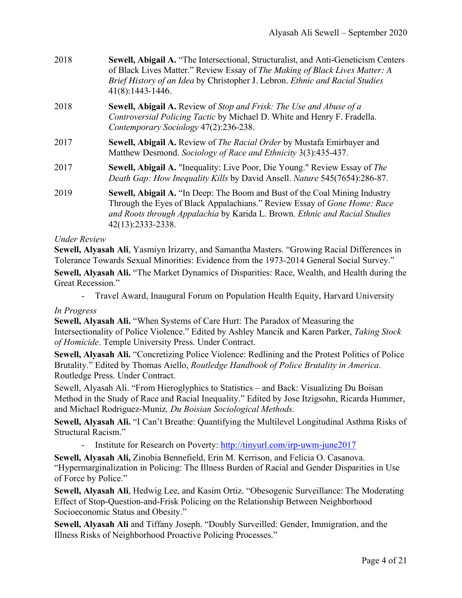- 2018 **Sewell, Abigail A.** "The Intersectional, Structuralist, and Anti-Geneticism Centers of Black Lives Matter." Review Essay of *The Making of Black Lives Matter: A Brief History of an Idea* by Christopher J. Lebron. *Ethnic and Racial Studies*  41(8):1443-1446.
- 2018 **Sewell, Abigail A.** Review of *Stop and Frisk: The Use and Abuse of a Controversial Policing Tactic* by Michael D. White and Henry F. Fradella. *Contemporary Sociology* 47(2):236-238.
- 2017 **Sewell, Abigail A.** Review of *The Racial Order* by Mustafa Emirbayer and Matthew Desmond. *Sociology of Race and Ethnicity* 3(3):435-437.
- 2017 **Sewell, Abigail A.** "Inequality: Live Poor, Die Young." Review Essay of *The Death Gap: How Inequality Kills* by David Ansell. *Nature* 545(7654):286-87.
- 2019 **Sewell, Abigail A.** "In Deep: The Boom and Bust of the Coal Mining Industry Through the Eyes of Black Appalachians." Review Essay of *Gone Home: Race and Roots through Appalachia* by Karida L. Brown. *Ethnic and Racial Studies*  42(13):2333-2338.

### *Under Review*

**Sewell, Alyasah Ali**, Yasmiyn Irizarry, and Samantha Masters. "Growing Racial Differences in Tolerance Towards Sexual Minorities: Evidence from the 1973-2014 General Social Survey." **Sewell, Alyasah Ali.** "The Market Dynamics of Disparities: Race, Wealth, and Health during the Great Recession."

- Travel Award, Inaugural Forum on Population Health Equity, Harvard University

### *In Progress*

**Sewell, Alyasah Ali.** "When Systems of Care Hurt: The Paradox of Measuring the Intersectionality of Police Violence." Edited by Ashley Mancik and Karen Parker, *Taking Stock of Homicide*. Temple University Press. Under Contract.

**Sewell, Alyasah Ali.** "Concretizing Police Violence: Redlining and the Protest Politics of Police Brutality." Edited by Thomas Aiello, *Routledge Handbook of Police Brutality in America*. Routledge Press. Under Contract.

Sewell, Alyasah Ali. "From Hieroglyphics to Statistics – and Back: Visualizing Du Boisan Method in the Study of Race and Racial Inequality." Edited by Jose Itzigsohn, Ricarda Hummer, and Michael Rodriguez-Muniz*, Du Boisian Sociological Methods.*

**Sewell, Alyasah Ali.** "I Can't Breathe: Quantifying the Multilevel Longitudinal Asthma Risks of Structural Racism."

- Institute for Research on Poverty: http://tinyurl.com/irp-uwm-june2017

**Sewell, Alyasah Ali,** Zinobia Bennefield, Erin M. Kerrison, and Felicia O. Casanova. "Hypermarginalization in Policing: The Illness Burden of Racial and Gender Disparities in Use of Force by Police."

**Sewell, Alyasah Ali**, Hedwig Lee, and Kasim Ortiz. "Obesogenic Surveillance: The Moderating Effect of Stop-Question-and-Frisk Policing on the Relationship Between Neighborhood Socioeconomic Status and Obesity."

**Sewell, Alyasah Ali** and Tiffany Joseph. "Doubly Surveilled: Gender, Immigration, and the Illness Risks of Neighborhood Proactive Policing Processes."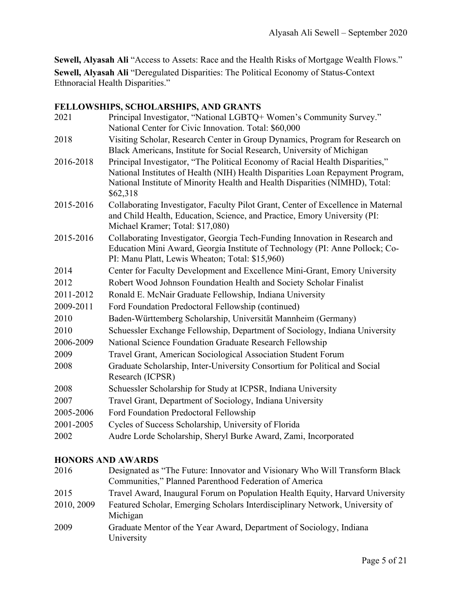**Sewell, Alyasah Ali** "Access to Assets: Race and the Health Risks of Mortgage Wealth Flows." **Sewell, Alyasah Ali** "Deregulated Disparities: The Political Economy of Status-Context Ethnoracial Health Disparities."

# **FELLOWSHIPS, SCHOLARSHIPS, AND GRANTS**

| 2021      | Principal Investigator, "National LGBTQ+ Women's Community Survey."<br>National Center for Civic Innovation. Total: \$60,000                                                                                                                                |
|-----------|-------------------------------------------------------------------------------------------------------------------------------------------------------------------------------------------------------------------------------------------------------------|
| 2018      | Visiting Scholar, Research Center in Group Dynamics, Program for Research on<br>Black Americans, Institute for Social Research, University of Michigan                                                                                                      |
| 2016-2018 | Principal Investigator, "The Political Economy of Racial Health Disparities,"<br>National Institutes of Health (NIH) Health Disparities Loan Repayment Program,<br>National Institute of Minority Health and Health Disparities (NIMHD), Total:<br>\$62,318 |
| 2015-2016 | Collaborating Investigator, Faculty Pilot Grant, Center of Excellence in Maternal<br>and Child Health, Education, Science, and Practice, Emory University (PI:<br>Michael Kramer; Total: \$17,080)                                                          |
| 2015-2016 | Collaborating Investigator, Georgia Tech-Funding Innovation in Research and<br>Education Mini Award, Georgia Institute of Technology (PI: Anne Pollock; Co-<br>PI: Manu Platt, Lewis Wheaton; Total: \$15,960)                                              |
| 2014      | Center for Faculty Development and Excellence Mini-Grant, Emory University                                                                                                                                                                                  |
| 2012      | Robert Wood Johnson Foundation Health and Society Scholar Finalist                                                                                                                                                                                          |
| 2011-2012 | Ronald E. McNair Graduate Fellowship, Indiana University                                                                                                                                                                                                    |
| 2009-2011 | Ford Foundation Predoctoral Fellowship (continued)                                                                                                                                                                                                          |
| 2010      | Baden-Württemberg Scholarship, Universität Mannheim (Germany)                                                                                                                                                                                               |
| 2010      | Schuessler Exchange Fellowship, Department of Sociology, Indiana University                                                                                                                                                                                 |
| 2006-2009 | National Science Foundation Graduate Research Fellowship                                                                                                                                                                                                    |
| 2009      | Travel Grant, American Sociological Association Student Forum                                                                                                                                                                                               |
| 2008      | Graduate Scholarship, Inter-University Consortium for Political and Social<br>Research (ICPSR)                                                                                                                                                              |
| 2008      | Schuessler Scholarship for Study at ICPSR, Indiana University                                                                                                                                                                                               |
| 2007      | Travel Grant, Department of Sociology, Indiana University                                                                                                                                                                                                   |
| 2005-2006 | Ford Foundation Predoctoral Fellowship                                                                                                                                                                                                                      |
| 2001-2005 | Cycles of Success Scholarship, University of Florida                                                                                                                                                                                                        |
| 2002      | Audre Lorde Scholarship, Sheryl Burke Award, Zami, Incorporated                                                                                                                                                                                             |
|           |                                                                                                                                                                                                                                                             |

# **HONORS AND AWARDS**

| 2016       | Designated as "The Future: Innovator and Visionary Who Will Transform Black   |
|------------|-------------------------------------------------------------------------------|
|            | Communities," Planned Parenthood Federation of America                        |
| 2015       | Travel Award, Inaugural Forum on Population Health Equity, Harvard University |
| 2010, 2009 | Featured Scholar, Emerging Scholars Interdisciplinary Network, University of  |
|            | Michigan                                                                      |
| 2009       | Graduate Mentor of the Year Award, Department of Sociology, Indiana           |
|            | University                                                                    |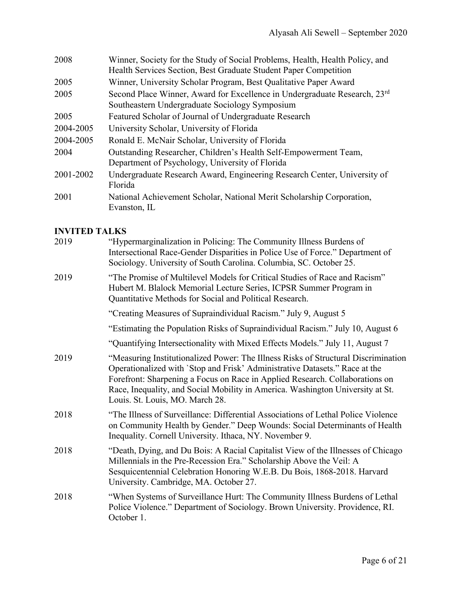| 2008      | Winner, Society for the Study of Social Problems, Health, Health Policy, and |
|-----------|------------------------------------------------------------------------------|
|           | Health Services Section, Best Graduate Student Paper Competition             |
| 2005      | Winner, University Scholar Program, Best Qualitative Paper Award             |
| 2005      | Second Place Winner, Award for Excellence in Undergraduate Research, 23rd    |
|           | Southeastern Undergraduate Sociology Symposium                               |
| 2005      | Featured Scholar of Journal of Undergraduate Research                        |
| 2004-2005 | University Scholar, University of Florida                                    |
| 2004-2005 | Ronald E. McNair Scholar, University of Florida                              |
| 2004      | Outstanding Researcher, Children's Health Self-Empowerment Team,             |
|           | Department of Psychology, University of Florida                              |
| 2001-2002 | Undergraduate Research Award, Engineering Research Center, University of     |
|           | Florida                                                                      |
| 2001      | National Achievement Scholar, National Merit Scholarship Corporation,        |
|           | Evanston, IL                                                                 |

# **INVITED TALKS**

| 2019 | "Hypermarginalization in Policing: The Community Illness Burdens of<br>Intersectional Race-Gender Disparities in Police Use of Force." Department of<br>Sociology. University of South Carolina. Columbia, SC. October 25.                                                                                                                                             |
|------|------------------------------------------------------------------------------------------------------------------------------------------------------------------------------------------------------------------------------------------------------------------------------------------------------------------------------------------------------------------------|
| 2019 | "The Promise of Multilevel Models for Critical Studies of Race and Racism"<br>Hubert M. Blalock Memorial Lecture Series, ICPSR Summer Program in<br>Quantitative Methods for Social and Political Research.                                                                                                                                                            |
|      | "Creating Measures of Supraindividual Racism." July 9, August 5                                                                                                                                                                                                                                                                                                        |
|      | "Estimating the Population Risks of Supraindividual Racism." July 10, August 6                                                                                                                                                                                                                                                                                         |
|      | "Quantifying Intersectionality with Mixed Effects Models." July 11, August 7                                                                                                                                                                                                                                                                                           |
| 2019 | "Measuring Institutionalized Power: The Illness Risks of Structural Discrimination<br>Operationalized with 'Stop and Frisk' Administrative Datasets." Race at the<br>Forefront: Sharpening a Focus on Race in Applied Research. Collaborations on<br>Race, Inequality, and Social Mobility in America. Washington University at St.<br>Louis. St. Louis, MO. March 28. |
| 2018 | "The Illness of Surveillance: Differential Associations of Lethal Police Violence<br>on Community Health by Gender." Deep Wounds: Social Determinants of Health<br>Inequality. Cornell University. Ithaca, NY. November 9.                                                                                                                                             |
| 2018 | "Death, Dying, and Du Bois: A Racial Capitalist View of the Illnesses of Chicago<br>Millennials in the Pre-Recession Era." Scholarship Above the Veil: A<br>Sesquicentennial Celebration Honoring W.E.B. Du Bois, 1868-2018. Harvard<br>University. Cambridge, MA. October 27.                                                                                         |
| 2018 | "When Systems of Surveillance Hurt: The Community Illness Burdens of Lethal<br>Police Violence." Department of Sociology. Brown University. Providence, RI.<br>October 1.                                                                                                                                                                                              |
|      |                                                                                                                                                                                                                                                                                                                                                                        |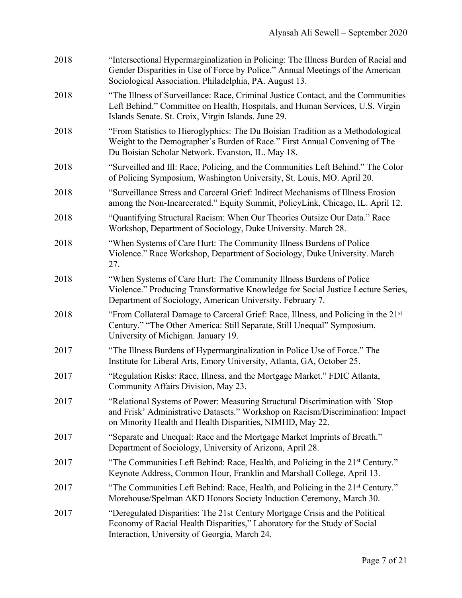| 2018 | "Intersectional Hypermarginalization in Policing: The Illness Burden of Racial and<br>Gender Disparities in Use of Force by Police." Annual Meetings of the American<br>Sociological Association. Philadelphia, PA. August 13. |
|------|--------------------------------------------------------------------------------------------------------------------------------------------------------------------------------------------------------------------------------|
| 2018 | "The Illness of Surveillance: Race, Criminal Justice Contact, and the Communities<br>Left Behind." Committee on Health, Hospitals, and Human Services, U.S. Virgin<br>Islands Senate. St. Croix, Virgin Islands. June 29.      |
| 2018 | "From Statistics to Hieroglyphics: The Du Boisian Tradition as a Methodological<br>Weight to the Demographer's Burden of Race." First Annual Convening of The<br>Du Boisian Scholar Network. Evanston, IL. May 18.             |
| 2018 | "Surveilled and Ill: Race, Policing, and the Communities Left Behind." The Color<br>of Policing Symposium, Washington University, St. Louis, MO. April 20.                                                                     |
| 2018 | "Surveillance Stress and Carceral Grief: Indirect Mechanisms of Illness Erosion<br>among the Non-Incarcerated." Equity Summit, PolicyLink, Chicago, IL. April 12.                                                              |
| 2018 | "Quantifying Structural Racism: When Our Theories Outsize Our Data." Race<br>Workshop, Department of Sociology, Duke University. March 28.                                                                                     |
| 2018 | "When Systems of Care Hurt: The Community Illness Burdens of Police<br>Violence." Race Workshop, Department of Sociology, Duke University. March<br>27.                                                                        |
| 2018 | "When Systems of Care Hurt: The Community Illness Burdens of Police<br>Violence." Producing Transformative Knowledge for Social Justice Lecture Series,<br>Department of Sociology, American University. February 7.           |
| 2018 | "From Collateral Damage to Carceral Grief: Race, Illness, and Policing in the 21st<br>Century." "The Other America: Still Separate, Still Unequal" Symposium.<br>University of Michigan. January 19.                           |
| 2017 | "The Illness Burdens of Hypermarginalization in Police Use of Force." The<br>Institute for Liberal Arts, Emory University, Atlanta, GA, October 25.                                                                            |
| 2017 | "Regulation Risks: Race, Illness, and the Mortgage Market." FDIC Atlanta,<br>Community Affairs Division, May 23.                                                                                                               |
| 2017 | "Relational Systems of Power: Measuring Structural Discrimination with `Stop<br>and Frisk' Administrative Datasets." Workshop on Racism/Discrimination: Impact<br>on Minority Health and Health Disparities, NIMHD, May 22.    |
| 2017 | "Separate and Unequal: Race and the Mortgage Market Imprints of Breath."<br>Department of Sociology, University of Arizona, April 28.                                                                                          |
| 2017 | "The Communities Left Behind: Race, Health, and Policing in the 21 <sup>st</sup> Century."<br>Keynote Address, Common Hour, Franklin and Marshall College, April 13.                                                           |
| 2017 | "The Communities Left Behind: Race, Health, and Policing in the 21 <sup>st</sup> Century."<br>Morehouse/Spelman AKD Honors Society Induction Ceremony, March 30.                                                               |
| 2017 | "Deregulated Disparities: The 21st Century Mortgage Crisis and the Political<br>Economy of Racial Health Disparities," Laboratory for the Study of Social<br>Interaction, University of Georgia, March 24.                     |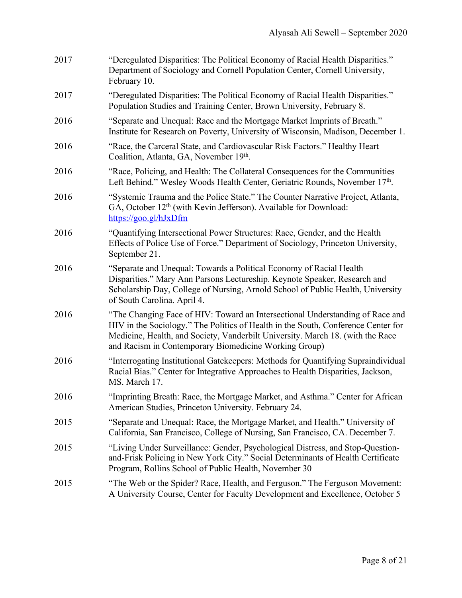| 2017 | "Deregulated Disparities: The Political Economy of Racial Health Disparities."<br>Department of Sociology and Cornell Population Center, Cornell University,<br>February 10.                                                                                                                                  |
|------|---------------------------------------------------------------------------------------------------------------------------------------------------------------------------------------------------------------------------------------------------------------------------------------------------------------|
| 2017 | "Deregulated Disparities: The Political Economy of Racial Health Disparities."<br>Population Studies and Training Center, Brown University, February 8.                                                                                                                                                       |
| 2016 | "Separate and Unequal: Race and the Mortgage Market Imprints of Breath."<br>Institute for Research on Poverty, University of Wisconsin, Madison, December 1.                                                                                                                                                  |
| 2016 | "Race, the Carceral State, and Cardiovascular Risk Factors." Healthy Heart<br>Coalition, Atlanta, GA, November 19th.                                                                                                                                                                                          |
| 2016 | "Race, Policing, and Health: The Collateral Consequences for the Communities<br>Left Behind." Wesley Woods Health Center, Geriatric Rounds, November 17th.                                                                                                                                                    |
| 2016 | "Systemic Trauma and the Police State." The Counter Narrative Project, Atlanta,<br>GA, October 12 <sup>th</sup> (with Kevin Jefferson). Available for Download:<br>https://goo.gl/hJxDfm                                                                                                                      |
| 2016 | "Quantifying Intersectional Power Structures: Race, Gender, and the Health<br>Effects of Police Use of Force." Department of Sociology, Princeton University,<br>September 21.                                                                                                                                |
| 2016 | "Separate and Unequal: Towards a Political Economy of Racial Health<br>Disparities." Mary Ann Parsons Lectureship. Keynote Speaker, Research and<br>Scholarship Day, College of Nursing, Arnold School of Public Health, University<br>of South Carolina. April 4.                                            |
| 2016 | "The Changing Face of HIV: Toward an Intersectional Understanding of Race and<br>HIV in the Sociology." The Politics of Health in the South, Conference Center for<br>Medicine, Health, and Society, Vanderbilt University. March 18. (with the Race<br>and Racism in Contemporary Biomedicine Working Group) |
| 2016 | "Interrogating Institutional Gatekeepers: Methods for Quantifying Supraindividual<br>Racial Bias." Center for Integrative Approaches to Health Disparities, Jackson,<br>MS. March 17.                                                                                                                         |
| 2016 | "Imprinting Breath: Race, the Mortgage Market, and Asthma." Center for African<br>American Studies, Princeton University. February 24.                                                                                                                                                                        |
| 2015 | "Separate and Unequal: Race, the Mortgage Market, and Health." University of<br>California, San Francisco, College of Nursing, San Francisco, CA. December 7.                                                                                                                                                 |
| 2015 | "Living Under Surveillance: Gender, Psychological Distress, and Stop-Question-<br>and-Frisk Policing in New York City." Social Determinants of Health Certificate<br>Program, Rollins School of Public Health, November 30                                                                                    |
| 2015 | "The Web or the Spider? Race, Health, and Ferguson." The Ferguson Movement:<br>A University Course, Center for Faculty Development and Excellence, October 5                                                                                                                                                  |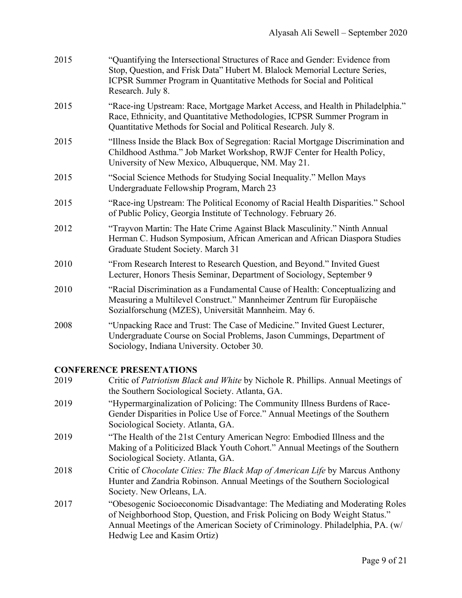| 2015 | "Quantifying the Intersectional Structures of Race and Gender: Evidence from<br>Stop, Question, and Frisk Data" Hubert M. Blalock Memorial Lecture Series,<br>ICPSR Summer Program in Quantitative Methods for Social and Political<br>Research. July 8. |
|------|----------------------------------------------------------------------------------------------------------------------------------------------------------------------------------------------------------------------------------------------------------|
| 2015 | "Race-ing Upstream: Race, Mortgage Market Access, and Health in Philadelphia."<br>Race, Ethnicity, and Quantitative Methodologies, ICPSR Summer Program in<br>Quantitative Methods for Social and Political Research. July 8.                            |
| 2015 | "Illness Inside the Black Box of Segregation: Racial Mortgage Discrimination and<br>Childhood Asthma." Job Market Workshop, RWJF Center for Health Policy,<br>University of New Mexico, Albuquerque, NM. May 21.                                         |
| 2015 | "Social Science Methods for Studying Social Inequality." Mellon Mays<br>Undergraduate Fellowship Program, March 23                                                                                                                                       |
| 2015 | "Race-ing Upstream: The Political Economy of Racial Health Disparities." School<br>of Public Policy, Georgia Institute of Technology. February 26.                                                                                                       |
| 2012 | "Trayvon Martin: The Hate Crime Against Black Masculinity." Ninth Annual<br>Herman C. Hudson Symposium, African American and African Diaspora Studies<br>Graduate Student Society. March 31                                                              |
| 2010 | "From Research Interest to Research Question, and Beyond." Invited Guest<br>Lecturer, Honors Thesis Seminar, Department of Sociology, September 9                                                                                                        |
| 2010 | "Racial Discrimination as a Fundamental Cause of Health: Conceptualizing and<br>Measuring a Multilevel Construct." Mannheimer Zentrum für Europäische<br>Sozialforschung (MZES), Universität Mannheim. May 6.                                            |
| 2008 | "Unpacking Race and Trust: The Case of Medicine." Invited Guest Lecturer,<br>Undergraduate Course on Social Problems, Jason Cummings, Department of<br>Sociology, Indiana University. October 30.                                                        |

# **CONFERENCE PRESENTATIONS**

| 2019 | Critic of Patriotism Black and White by Nichole R. Phillips. Annual Meetings of<br>the Southern Sociological Society. Atlanta, GA.                                                                                                                                       |
|------|--------------------------------------------------------------------------------------------------------------------------------------------------------------------------------------------------------------------------------------------------------------------------|
| 2019 | "Hypermarginalization of Policing: The Community Illness Burdens of Race-<br>Gender Disparities in Police Use of Force." Annual Meetings of the Southern<br>Sociological Society. Atlanta, GA.                                                                           |
| 2019 | "The Health of the 21st Century American Negro: Embodied Illness and the<br>Making of a Politicized Black Youth Cohort." Annual Meetings of the Southern<br>Sociological Society. Atlanta, GA.                                                                           |
| 2018 | Critic of Chocolate Cities: The Black Map of American Life by Marcus Anthony<br>Hunter and Zandria Robinson. Annual Meetings of the Southern Sociological<br>Society. New Orleans, LA.                                                                                   |
| 2017 | "Obesogenic Socioeconomic Disadvantage: The Mediating and Moderating Roles<br>of Neighborhood Stop, Question, and Frisk Policing on Body Weight Status."<br>Annual Meetings of the American Society of Criminology. Philadelphia, PA. (w/<br>Hedwig Lee and Kasim Ortiz) |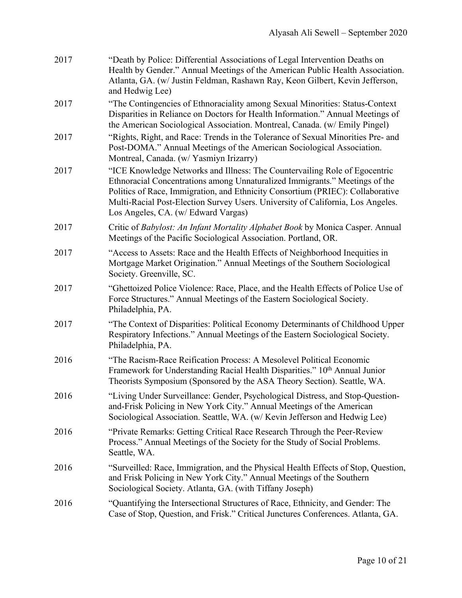| 2017 | "Death by Police: Differential Associations of Legal Intervention Deaths on<br>Health by Gender." Annual Meetings of the American Public Health Association.<br>Atlanta, GA. (w/ Justin Feldman, Rashawn Ray, Keon Gilbert, Kevin Jefferson,<br>and Hedwig Lee)                                                                                                       |
|------|-----------------------------------------------------------------------------------------------------------------------------------------------------------------------------------------------------------------------------------------------------------------------------------------------------------------------------------------------------------------------|
| 2017 | "The Contingencies of Ethnoraciality among Sexual Minorities: Status-Context<br>Disparities in Reliance on Doctors for Health Information." Annual Meetings of<br>the American Sociological Association. Montreal, Canada. (w/ Emily Pingel)                                                                                                                          |
| 2017 | "Rights, Right, and Race: Trends in the Tolerance of Sexual Minorities Pre- and<br>Post-DOMA." Annual Meetings of the American Sociological Association.<br>Montreal, Canada. (w/ Yasmiyn Irizarry)                                                                                                                                                                   |
| 2017 | "ICE Knowledge Networks and Illness: The Countervailing Role of Egocentric<br>Ethnoracial Concentrations among Unnaturalized Immigrants." Meetings of the<br>Politics of Race, Immigration, and Ethnicity Consortium (PRIEC): Collaborative<br>Multi-Racial Post-Election Survey Users. University of California, Los Angeles.<br>Los Angeles, CA. (w/ Edward Vargas) |
| 2017 | Critic of Babylost: An Infant Mortality Alphabet Book by Monica Casper. Annual<br>Meetings of the Pacific Sociological Association. Portland, OR.                                                                                                                                                                                                                     |
| 2017 | "Access to Assets: Race and the Health Effects of Neighborhood Inequities in<br>Mortgage Market Origination." Annual Meetings of the Southern Sociological<br>Society. Greenville, SC.                                                                                                                                                                                |
| 2017 | "Ghettoized Police Violence: Race, Place, and the Health Effects of Police Use of<br>Force Structures." Annual Meetings of the Eastern Sociological Society.<br>Philadelphia, PA.                                                                                                                                                                                     |
| 2017 | "The Context of Disparities: Political Economy Determinants of Childhood Upper<br>Respiratory Infections." Annual Meetings of the Eastern Sociological Society.<br>Philadelphia, PA.                                                                                                                                                                                  |
| 2016 | "The Racism-Race Reification Process: A Mesolevel Political Economic<br>Framework for Understanding Racial Health Disparities." 10th Annual Junior<br>Theorists Symposium (Sponsored by the ASA Theory Section). Seattle, WA.                                                                                                                                         |
| 2016 | "Living Under Surveillance: Gender, Psychological Distress, and Stop-Question-<br>and-Frisk Policing in New York City." Annual Meetings of the American<br>Sociological Association. Seattle, WA. (w/ Kevin Jefferson and Hedwig Lee)                                                                                                                                 |
| 2016 | "Private Remarks: Getting Critical Race Research Through the Peer-Review<br>Process." Annual Meetings of the Society for the Study of Social Problems.<br>Seattle, WA.                                                                                                                                                                                                |
| 2016 | "Surveilled: Race, Immigration, and the Physical Health Effects of Stop, Question,<br>and Frisk Policing in New York City." Annual Meetings of the Southern<br>Sociological Society. Atlanta, GA. (with Tiffany Joseph)                                                                                                                                               |
| 2016 | "Quantifying the Intersectional Structures of Race, Ethnicity, and Gender: The<br>Case of Stop, Question, and Frisk." Critical Junctures Conferences. Atlanta, GA.                                                                                                                                                                                                    |
|      |                                                                                                                                                                                                                                                                                                                                                                       |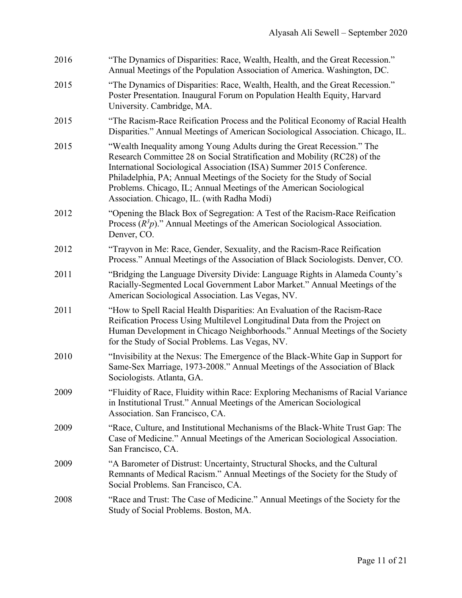| 2016 | "The Dynamics of Disparities: Race, Wealth, Health, and the Great Recession."<br>Annual Meetings of the Population Association of America. Washington, DC.                                                                                                                                                                                                                                                                    |
|------|-------------------------------------------------------------------------------------------------------------------------------------------------------------------------------------------------------------------------------------------------------------------------------------------------------------------------------------------------------------------------------------------------------------------------------|
| 2015 | "The Dynamics of Disparities: Race, Wealth, Health, and the Great Recession."<br>Poster Presentation. Inaugural Forum on Population Health Equity, Harvard<br>University. Cambridge, MA.                                                                                                                                                                                                                                      |
| 2015 | "The Racism-Race Reification Process and the Political Economy of Racial Health<br>Disparities." Annual Meetings of American Sociological Association. Chicago, IL.                                                                                                                                                                                                                                                           |
| 2015 | "Wealth Inequality among Young Adults during the Great Recession." The<br>Research Committee 28 on Social Stratification and Mobility (RC28) of the<br>International Sociological Association (ISA) Summer 2015 Conference.<br>Philadelphia, PA; Annual Meetings of the Society for the Study of Social<br>Problems. Chicago, IL; Annual Meetings of the American Sociological<br>Association. Chicago, IL. (with Radha Modi) |
| 2012 | "Opening the Black Box of Segregation: A Test of the Racism-Race Reification<br>Process $(R3p)$ ." Annual Meetings of the American Sociological Association.<br>Denver, CO.                                                                                                                                                                                                                                                   |
| 2012 | "Trayvon in Me: Race, Gender, Sexuality, and the Racism-Race Reification<br>Process." Annual Meetings of the Association of Black Sociologists. Denver, CO.                                                                                                                                                                                                                                                                   |
| 2011 | "Bridging the Language Diversity Divide: Language Rights in Alameda County's<br>Racially-Segmented Local Government Labor Market." Annual Meetings of the<br>American Sociological Association. Las Vegas, NV.                                                                                                                                                                                                                |
| 2011 | "How to Spell Racial Health Disparities: An Evaluation of the Racism-Race<br>Reification Process Using Multilevel Longitudinal Data from the Project on<br>Human Development in Chicago Neighborhoods." Annual Meetings of the Society<br>for the Study of Social Problems. Las Vegas, NV.                                                                                                                                    |
| 2010 | "Invisibility at the Nexus: The Emergence of the Black-White Gap in Support for<br>Same-Sex Marriage, 1973-2008." Annual Meetings of the Association of Black<br>Sociologists. Atlanta, GA.                                                                                                                                                                                                                                   |
| 2009 | "Fluidity of Race, Fluidity within Race: Exploring Mechanisms of Racial Variance<br>in Institutional Trust." Annual Meetings of the American Sociological<br>Association. San Francisco, CA.                                                                                                                                                                                                                                  |
| 2009 | "Race, Culture, and Institutional Mechanisms of the Black-White Trust Gap: The<br>Case of Medicine." Annual Meetings of the American Sociological Association.<br>San Francisco, CA.                                                                                                                                                                                                                                          |
| 2009 | "A Barometer of Distrust: Uncertainty, Structural Shocks, and the Cultural<br>Remnants of Medical Racism." Annual Meetings of the Society for the Study of<br>Social Problems. San Francisco, CA.                                                                                                                                                                                                                             |
| 2008 | "Race and Trust: The Case of Medicine." Annual Meetings of the Society for the<br>Study of Social Problems. Boston, MA.                                                                                                                                                                                                                                                                                                       |
|      |                                                                                                                                                                                                                                                                                                                                                                                                                               |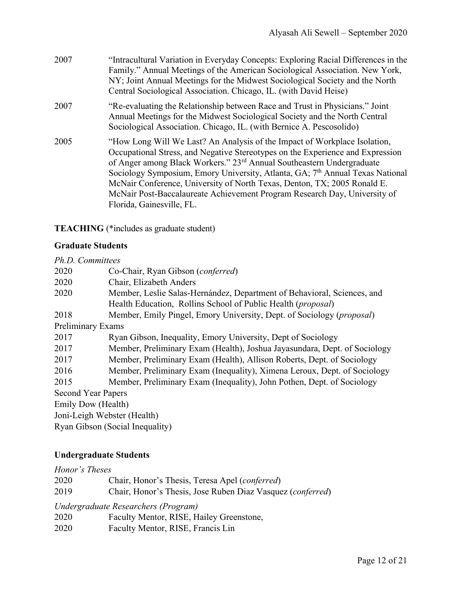- 2007 "Intracultural Variation in Everyday Concepts: Exploring Racial Differences in the Family." Annual Meetings of the American Sociological Association. New York, NY; Joint Annual Meetings for the Midwest Sociological Society and the North Central Sociological Association. Chicago, IL. (with David Heise) 2007 "Re-evaluating the Relationship between Race and Trust in Physicians." Joint Annual Meetings for the Midwest Sociological Society and the North Central
- Sociological Association. Chicago, IL. (with Bernice A. Pescosolido) 2005 "How Long Will We Last? An Analysis of the Impact of Workplace Isolation, Occupational Stress, and Negative Stereotypes on the Experience and Expression of Anger among Black Workers." 23rd Annual Southeastern Undergraduate Sociology Symposium, Emory University, Atlanta, GA; 7<sup>th</sup> Annual Texas National McNair Conference, University of North Texas, Denton, TX; 2005 Ronald E. McNair Post-Baccalaureate Achievement Program Research Day, University of Florida, Gainesville, FL.

**TEACHING** (\*includes as graduate student)

### **Graduate Students**

| Ph.D. Committees                |                                                                                |  |
|---------------------------------|--------------------------------------------------------------------------------|--|
| 2020                            | Co-Chair, Ryan Gibson (conferred)                                              |  |
| 2020                            | Chair, Elizabeth Anders                                                        |  |
| 2020                            | Member, Leslie Salas-Hernández, Department of Behavioral, Sciences, and        |  |
|                                 | Health Education, Rollins School of Public Health ( <i>proposal</i> )          |  |
| 2018                            | Member, Emily Pingel, Emory University, Dept. of Sociology ( <i>proposal</i> ) |  |
| Preliminary Exams               |                                                                                |  |
| 2017                            | Ryan Gibson, Inequality, Emory University, Dept of Sociology                   |  |
| 2017                            | Member, Preliminary Exam (Health), Joshua Jayasundara, Dept. of Sociology      |  |
| 2017                            | Member, Preliminary Exam (Health), Allison Roberts, Dept. of Sociology         |  |
| 2016                            | Member, Preliminary Exam (Inequality), Ximena Leroux, Dept. of Sociology       |  |
| 2015                            | Member, Preliminary Exam (Inequality), John Pothen, Dept. of Sociology         |  |
| <b>Second Year Papers</b>       |                                                                                |  |
| Emily Dow (Health)              |                                                                                |  |
| Joni-Leigh Webster (Health)     |                                                                                |  |
| Ryan Gibson (Social Inequality) |                                                                                |  |

### **Undergraduate Students**

| Honor's Theses |                                                            |
|----------------|------------------------------------------------------------|
| 2020           | Chair, Honor's Thesis, Teresa Apel (conferred)             |
| 2019           | Chair, Honor's Thesis, Jose Ruben Diaz Vasquez (conferred) |
|                | Undergraduate Researchers (Program)                        |
| 2020           | Faculty Mentor, RISE, Hailey Greenstone,                   |
| 2020           | Faculty Mentor, RISE, Francis Lin                          |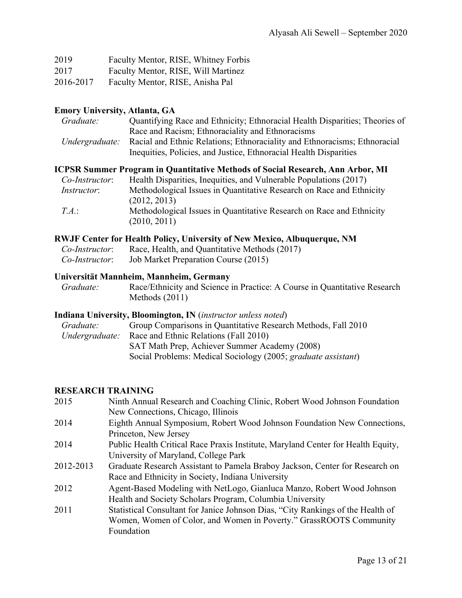| 2019      | Faculty Mentor, RISE, Whitney Forbis |
|-----------|--------------------------------------|
| 2017      | Faculty Mentor, RISE, Will Martinez  |
| 2016-2017 | Faculty Mentor, RISE, Anisha Pal     |

### **Emory University, Atlanta, GA**

| Graduate:      | Quantifying Race and Ethnicity; Ethnoracial Health Disparities; Theories of |
|----------------|-----------------------------------------------------------------------------|
|                | Race and Racism; Ethnoraciality and Ethnoracisms                            |
| Undergraduate: | Racial and Ethnic Relations; Ethnoraciality and Ethnoracisms; Ethnoracial   |
|                | Inequities, Policies, and Justice, Ethnoracial Health Disparities           |

### **ICPSR Summer Program in Quantitative Methods of Social Research, Ann Arbor, MI**

| Co-Instructor:      | Health Disparities, Inequities, and Vulnerable Populations (2017)    |
|---------------------|----------------------------------------------------------------------|
| <i>Instructor</i> : | Methodological Issues in Quantitative Research on Race and Ethnicity |
|                     | (2012, 2013)                                                         |
| $T.A$ :             | Methodological Issues in Quantitative Research on Race and Ethnicity |
|                     | (2010, 2011)                                                         |

# **RWJF Center for Health Policy, University of New Mexico, Albuquerque, NM**

| Co-Instructor: | Race, Health, and Quantitative Methods (2017) |
|----------------|-----------------------------------------------|
| Co-Instructor: | Job Market Preparation Course (2015)          |

# **Universität Mannheim, Mannheim, Germany**

Race/Ethnicity and Science in Practice: A Course in Quantitative Research Methods (2011)

### **Indiana University, Bloomington, IN** (*instructor unless noted*)

| Group Comparisons in Quantitative Research Methods, Fall 2010 |
|---------------------------------------------------------------|
| Race and Ethnic Relations (Fall 2010)                         |
| SAT Math Prep, Achiever Summer Academy (2008)                 |
| Social Problems: Medical Sociology (2005; graduate assistant) |
|                                                               |

### **RESEARCH TRAINING**

| 2015      | Ninth Annual Research and Coaching Clinic, Robert Wood Johnson Foundation        |
|-----------|----------------------------------------------------------------------------------|
|           | New Connections, Chicago, Illinois                                               |
| 2014      | Eighth Annual Symposium, Robert Wood Johnson Foundation New Connections,         |
|           | Princeton, New Jersey                                                            |
| 2014      | Public Health Critical Race Praxis Institute, Maryland Center for Health Equity, |
|           | University of Maryland, College Park                                             |
| 2012-2013 | Graduate Research Assistant to Pamela Braboy Jackson, Center for Research on     |
|           | Race and Ethnicity in Society, Indiana University                                |
| 2012      | Agent-Based Modeling with NetLogo, Gianluca Manzo, Robert Wood Johnson           |
|           | Health and Society Scholars Program, Columbia University                         |
| 2011      | Statistical Consultant for Janice Johnson Dias, "City Rankings of the Health of  |
|           | Women, Women of Color, and Women in Poverty." GrassROOTS Community               |
|           | Foundation                                                                       |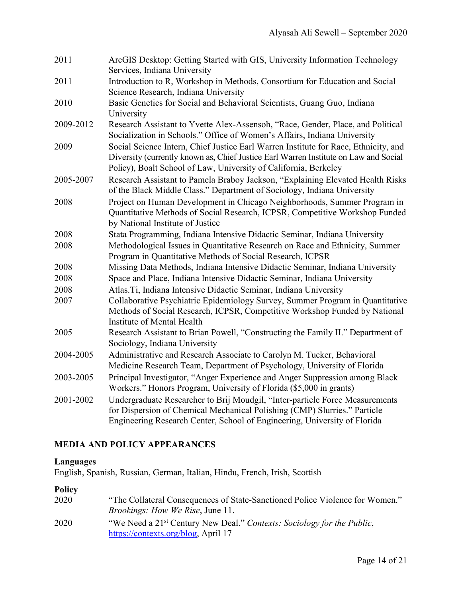| 2011      | ArcGIS Desktop: Getting Started with GIS, University Information Technology<br>Services, Indiana University                                                                                                                                     |
|-----------|-------------------------------------------------------------------------------------------------------------------------------------------------------------------------------------------------------------------------------------------------|
| 2011      | Introduction to R, Workshop in Methods, Consortium for Education and Social<br>Science Research, Indiana University                                                                                                                             |
| 2010      | Basic Genetics for Social and Behavioral Scientists, Guang Guo, Indiana<br>University                                                                                                                                                           |
| 2009-2012 | Research Assistant to Yvette Alex-Assensoh, "Race, Gender, Place, and Political<br>Socialization in Schools." Office of Women's Affairs, Indiana University                                                                                     |
| 2009      | Social Science Intern, Chief Justice Earl Warren Institute for Race, Ethnicity, and<br>Diversity (currently known as, Chief Justice Earl Warren Institute on Law and Social<br>Policy), Boalt School of Law, University of California, Berkeley |
| 2005-2007 | Research Assistant to Pamela Braboy Jackson, "Explaining Elevated Health Risks<br>of the Black Middle Class." Department of Sociology, Indiana University                                                                                       |
| 2008      | Project on Human Development in Chicago Neighborhoods, Summer Program in<br>Quantitative Methods of Social Research, ICPSR, Competitive Workshop Funded<br>by National Institute of Justice                                                     |
| 2008      | Stata Programming, Indiana Intensive Didactic Seminar, Indiana University                                                                                                                                                                       |
| 2008      | Methodological Issues in Quantitative Research on Race and Ethnicity, Summer<br>Program in Quantitative Methods of Social Research, ICPSR                                                                                                       |
| 2008      | Missing Data Methods, Indiana Intensive Didactic Seminar, Indiana University                                                                                                                                                                    |
| 2008      | Space and Place, Indiana Intensive Didactic Seminar, Indiana University                                                                                                                                                                         |
| 2008      | Atlas. Ti, Indiana Intensive Didactic Seminar, Indiana University                                                                                                                                                                               |
| 2007      | Collaborative Psychiatric Epidemiology Survey, Summer Program in Quantitative<br>Methods of Social Research, ICPSR, Competitive Workshop Funded by National<br>Institute of Mental Health                                                       |
| 2005      | Research Assistant to Brian Powell, "Constructing the Family II." Department of<br>Sociology, Indiana University                                                                                                                                |
| 2004-2005 | Administrative and Research Associate to Carolyn M. Tucker, Behavioral<br>Medicine Research Team, Department of Psychology, University of Florida                                                                                               |
| 2003-2005 | Principal Investigator, "Anger Experience and Anger Suppression among Black<br>Workers." Honors Program, University of Florida (\$5,000 in grants)                                                                                              |
| 2001-2002 | Undergraduate Researcher to Brij Moudgil, "Inter-particle Force Measurements<br>for Dispersion of Chemical Mechanical Polishing (CMP) Slurries." Particle<br>Engineering Research Center, School of Engineering, University of Florida          |

# **MEDIA AND POLICY APPEARANCES**

# **Languages**

English, Spanish, Russian, German, Italian, Hindu, French, Irish, Scottish

# **Policy**

| 2020 | "The Collateral Consequences of State-Sanctioned Police Violence for Women."                                              |
|------|---------------------------------------------------------------------------------------------------------------------------|
|      | <i>Brookings: How We Rise, June 11.</i>                                                                                   |
| 2020 | "We Need a 21 <sup>st</sup> Century New Deal." Contexts: Sociology for the Public,<br>https://contexts.org/blog, April 17 |
|      |                                                                                                                           |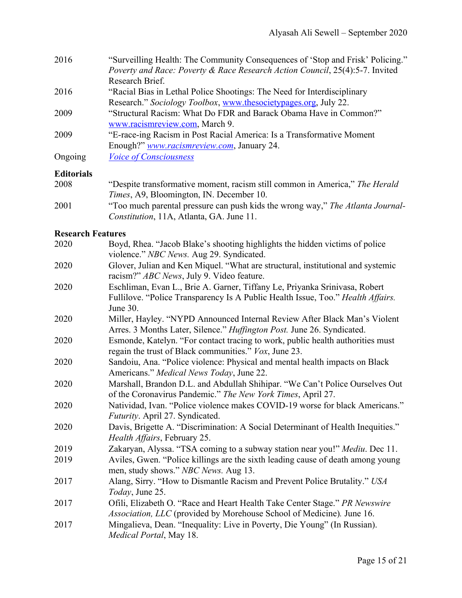| 2016              | "Surveilling Health: The Community Consequences of 'Stop and Frisk' Policing." |
|-------------------|--------------------------------------------------------------------------------|
|                   | Poverty and Race: Poverty & Race Research Action Council, 25(4):5-7. Invited   |
|                   | Research Brief.                                                                |
| 2016              | "Racial Bias in Lethal Police Shootings: The Need for Interdisciplinary        |
|                   | Research." Sociology Toolbox, www.thesocietypages.org, July 22.                |
| 2009              | "Structural Racism: What Do FDR and Barack Obama Have in Common?"              |
|                   | www.racismreview.com, March 9.                                                 |
| 2009              | "E-race-ing Racism in Post Racial America: Is a Transformative Moment          |
|                   | Enough?" www.racismreview.com, January 24.                                     |
| Ongoing           | <b>Voice of Consciousness</b>                                                  |
| <b>Editorials</b> |                                                                                |
| 2008              | "Despite transformative moment, racism still common in America," The Herald    |
|                   | <i>Times</i> , A9, Bloomington, IN. December 10.                               |

2001 "Too much parental pressure can push kids the wrong way," *The Atlanta Journal-Constitution*, 11A, Atlanta, GA. June 11.

### **Research Features**

| 2020 | Boyd, Rhea. "Jacob Blake's shooting highlights the hidden victims of police<br>violence." NBC News. Aug 29. Syndicated.                                                   |
|------|---------------------------------------------------------------------------------------------------------------------------------------------------------------------------|
| 2020 | Glover, Julian and Ken Miquel. "What are structural, institutional and systemic<br>racism?" ABC News, July 9. Video feature.                                              |
| 2020 | Eschliman, Evan L., Brie A. Garner, Tiffany Le, Priyanka Srinivasa, Robert<br>Fullilove. "Police Transparency Is A Public Health Issue, Too." Health Affairs.<br>June 30. |
| 2020 | Miller, Hayley. "NYPD Announced Internal Review After Black Man's Violent<br>Arres. 3 Months Later, Silence." Huffington Post. June 26. Syndicated.                       |
| 2020 | Esmonde, Katelyn. "For contact tracing to work, public health authorities must<br>regain the trust of Black communities." Vox, June 23.                                   |
| 2020 | Sandoiu, Ana. "Police violence: Physical and mental health impacts on Black<br>Americans." Medical News Today, June 22.                                                   |
| 2020 | Marshall, Brandon D.L. and Abdullah Shihipar. "We Can't Police Ourselves Out<br>of the Coronavirus Pandemic." The New York Times, April 27.                               |
| 2020 | Natividad, Ivan. "Police violence makes COVID-19 worse for black Americans."<br>Futurity. April 27. Syndicated.                                                           |
| 2020 | Davis, Brigette A. "Discrimination: A Social Determinant of Health Inequities."<br>Health Affairs, February 25.                                                           |
| 2019 | Zakaryan, Alyssa. "TSA coming to a subway station near you!" Mediu. Dec 11.                                                                                               |
| 2019 | Aviles, Gwen. "Police killings are the sixth leading cause of death among young<br>men, study shows." NBC News. Aug 13.                                                   |
| 2017 | Alang, Sirry. "How to Dismantle Racism and Prevent Police Brutality." USA<br><i>Today</i> , June 25.                                                                      |
| 2017 | Ofili, Elizabeth O. "Race and Heart Health Take Center Stage." PR Newswire<br>Association, LLC (provided by Morehouse School of Medicine). June 16.                       |
| 2017 | Mingalieva, Dean. "Inequality: Live in Poverty, Die Young" (In Russian).<br>Medical Portal, May 18.                                                                       |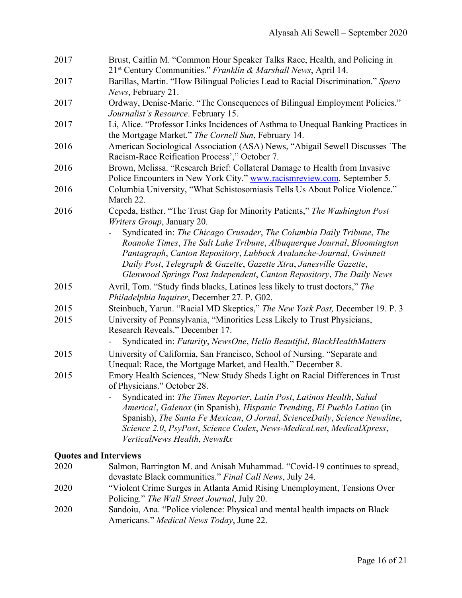- 2017 Brust, Caitlin M. "Common Hour Speaker Talks Race, Health, and Policing in 21st Century Communities." *Franklin & Marshall News*, April 14.
- 2017 Barillas, Martin. "How Bilingual Policies Lead to Racial Discrimination." *Spero News*, February 21.
- 2017 Ordway, Denise-Marie. "The Consequences of Bilingual Employment Policies." *Journalist's Resource*. February 15.
- 2017 Li, Alice. "Professor Links Incidences of Asthma to Unequal Banking Practices in the Mortgage Market." *The Cornell Sun*, February 14.
- 2016 American Sociological Association (ASA) News, "Abigail Sewell Discusses `The Racism-Race Reification Process'," October 7.
- 2016 Brown, Melissa. "Research Brief: Collateral Damage to Health from Invasive Police Encounters in New York City." www.racismreview.com. September 5.
- 2016 Columbia University, "What Schistosomiasis Tells Us About Police Violence." March 22.
- 2016 Cepeda, Esther. "The Trust Gap for Minority Patients," *The Washington Post Writers Group*, January 20.
	- Syndicated in: *The Chicago Crusader*, *The Columbia Daily Tribune*, *The Roanoke Times*, *The Salt Lake Tribune*, *Albuquerque Journal*, *Bloomington Pantagraph*, *Canton Repository*, *Lubbock Avalanche-Journal*, *Gwinnett Daily Post*, *Telegraph & Gazette*, *Gazette Xtra*, *Janesville Gazette*, *Glenwood Springs Post Independent*, *Canton Repository*, *The Daily News*
- 2015 Avril, Tom. "Study finds blacks, Latinos less likely to trust doctors," *The Philadelphia Inquirer*, December 27. P. G02.
- 2015 Steinbuch, Yarun. "Racial MD Skeptics," *The New York Post,* December 19. P. 3
- 2015 University of Pennsylvania, "Minorities Less Likely to Trust Physicians, Research Reveals." December 17.
	- Syndicated in: *Futurity*, *NewsOne*, *Hello Beautiful*, *BlackHealthMatters*
- 2015 University of California, San Francisco, School of Nursing. "Separate and Unequal: Race, the Mortgage Market, and Health." December 8.
- 2015 Emory Health Sciences, "New Study Sheds Light on Racial Differences in Trust of Physicians." October 28.
	- Syndicated in: *The Times Reporter*, *Latin Post*, *Latinos Health*, *Salud America!*, *Galenox* (in Spanish), *Hispanic Trending*, *El Pueblo Latino* (in Spanish), *The Santa Fe Mexican*, *O Jornal*, *ScienceDaily*, *Science Newsline*, *Science 2.0*, *PsyPost*, *Science Codex*, *News-Medical.net*, *MedicalXpress*, *VerticalNews Health*, *NewsRx*

# **Quotes and Interviews**

2020 Salmon, Barrington M. and Anisah Muhammad. "Covid-19 continues to spread, devastate Black communities." *Final Call News*, July 24. 2020 "Violent Crime Surges in Atlanta Amid Rising Unemployment, Tensions Over Policing." *The Wall Street Journal*, July 20. 2020 Sandoiu, Ana. "Police violence: Physical and mental health impacts on Black Americans." *Medical News Today*, June 22.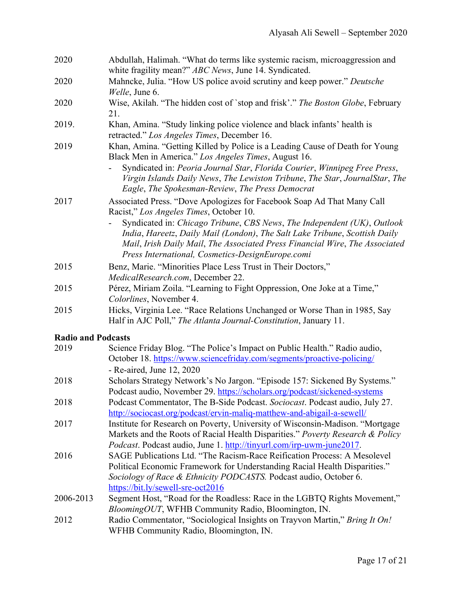- 2020 Abdullah, Halimah. "What do terms like systemic racism, microaggression and white fragility mean?" *ABC News*, June 14. Syndicated.
- 2020 Mahncke, Julia. "How US police avoid scrutiny and keep power." *Deutsche Welle*, June 6.
- 2020 Wise, Akilah. "The hidden cost of `stop and frisk'." *The Boston Globe*, February 21.
- 2019. Khan, Amina. "Study linking police violence and black infants' health is retracted." *Los Angeles Times*, December 16.
- 2019 Khan, Amina. "Getting Killed by Police is a Leading Cause of Death for Young Black Men in America." *Los Angeles Times*, August 16.
	- Syndicated in: *Peoria Journal Star*, *Florida Courier*, *Winnipeg Free Press*, *Virgin Islands Daily News*, *The Lewiston Tribune*, *The Star*, *JournalStar*, *The Eagle*, *The Spokesman-Review*, *The Press Democrat*
- 2017 Associated Press. "Dove Apologizes for Facebook Soap Ad That Many Call Racist," *Los Angeles Times*, October 10.
	- Syndicated in: *Chicago Tribune*, *CBS News*, *The Independent (UK)*, *Outlook India*, *Hareetz*, *Daily Mail (London)*, *The Salt Lake Tribune*, *Scottish Daily Mail*, *Irish Daily Mail*, *The Associated Press Financial Wire*, *The Associated Press International, Cosmetics-DesignEurope.comi*
- 2015 Benz, Marie. "Minorities Place Less Trust in Their Doctors," *MedicalResearch.com*, December 22.
- 2015 Pérez, Miriam Zoila. "Learning to Fight Oppression, One Joke at a Time," *Colorlines*, November 4.
- 2015 Hicks, Virginia Lee. "Race Relations Unchanged or Worse Than in 1985, Say Half in AJC Poll," *The Atlanta Journal-Constitution*, January 11.

# **Radio and Podcasts**

| 2019      | Science Friday Blog. "The Police's Impact on Public Health." Radio audio,      |
|-----------|--------------------------------------------------------------------------------|
|           | October 18. https://www.sciencefriday.com/segments/proactive-policing/         |
|           | - Re-aired, June 12, 2020                                                      |
| 2018      | Scholars Strategy Network's No Jargon. "Episode 157: Sickened By Systems."     |
|           | Podcast audio, November 29. https://scholars.org/podcast/sickened-systems      |
| 2018      | Podcast Commentator, The B-Side Podcast. Sociocast. Podcast audio, July 27.    |
|           | http://sociocast.org/podcast/ervin-maliq-matthew-and-abigail-a-sewell/         |
| 2017      | Institute for Research on Poverty, University of Wisconsin-Madison. "Mortgage  |
|           | Markets and the Roots of Racial Health Disparities." Poverty Research & Policy |
|           | <i>Podcast</i> . Podcast audio, June 1. http://tinyurl.com/irp-uwm-june2017.   |
| 2016      | SAGE Publications Ltd. "The Racism-Race Reification Process: A Mesolevel       |
|           | Political Economic Framework for Understanding Racial Health Disparities."     |
|           | Sociology of Race & Ethnicity PODCASTS. Podcast audio, October 6.              |
|           | https://bit.ly/sewell-sre-oct2016                                              |
| 2006-2013 | Segment Host, "Road for the Roadless: Race in the LGBTQ Rights Movement,"      |
|           | BloomingOUT, WFHB Community Radio, Bloomington, IN.                            |
| 2012      | Radio Commentator, "Sociological Insights on Trayvon Martin," Bring It On!     |
|           | WFHB Community Radio, Bloomington, IN.                                         |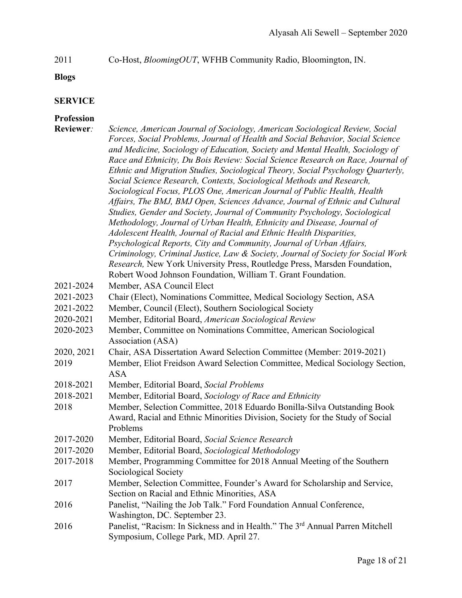2011 Co-Host, *BloomingOUT*, WFHB Community Radio, Bloomington, IN.

**Blogs**

# **SERVICE**

# **Profession**

| Reviewer:  | Science, American Journal of Sociology, American Sociological Review, Social<br>Forces, Social Problems, Journal of Health and Social Behavior, Social Science<br>and Medicine, Sociology of Education, Society and Mental Health, Sociology of<br>Race and Ethnicity, Du Bois Review: Social Science Research on Race, Journal of<br>Ethnic and Migration Studies, Sociological Theory, Social Psychology Quarterly,<br>Social Science Research, Contexts, Sociological Methods and Research,<br>Sociological Focus, PLOS One, American Journal of Public Health, Health<br>Affairs, The BMJ, BMJ Open, Sciences Advance, Journal of Ethnic and Cultural<br>Studies, Gender and Society, Journal of Community Psychology, Sociological<br>Methodology, Journal of Urban Health, Ethnicity and Disease, Journal of<br>Adolescent Health, Journal of Racial and Ethnic Health Disparities,<br>Psychological Reports, City and Community, Journal of Urban Affairs,<br>Criminology, Criminal Justice, Law & Society, Journal of Society for Social Work<br>Research, New York University Press, Routledge Press, Marsden Foundation, |
|------------|------------------------------------------------------------------------------------------------------------------------------------------------------------------------------------------------------------------------------------------------------------------------------------------------------------------------------------------------------------------------------------------------------------------------------------------------------------------------------------------------------------------------------------------------------------------------------------------------------------------------------------------------------------------------------------------------------------------------------------------------------------------------------------------------------------------------------------------------------------------------------------------------------------------------------------------------------------------------------------------------------------------------------------------------------------------------------------------------------------------------------------|
| 2021-2024  | Robert Wood Johnson Foundation, William T. Grant Foundation.<br>Member, ASA Council Elect                                                                                                                                                                                                                                                                                                                                                                                                                                                                                                                                                                                                                                                                                                                                                                                                                                                                                                                                                                                                                                          |
| 2021-2023  | Chair (Elect), Nominations Committee, Medical Sociology Section, ASA                                                                                                                                                                                                                                                                                                                                                                                                                                                                                                                                                                                                                                                                                                                                                                                                                                                                                                                                                                                                                                                               |
| 2021-2022  | Member, Council (Elect), Southern Sociological Society                                                                                                                                                                                                                                                                                                                                                                                                                                                                                                                                                                                                                                                                                                                                                                                                                                                                                                                                                                                                                                                                             |
| 2020-2021  | Member, Editorial Board, American Sociological Review                                                                                                                                                                                                                                                                                                                                                                                                                                                                                                                                                                                                                                                                                                                                                                                                                                                                                                                                                                                                                                                                              |
| 2020-2023  | Member, Committee on Nominations Committee, American Sociological                                                                                                                                                                                                                                                                                                                                                                                                                                                                                                                                                                                                                                                                                                                                                                                                                                                                                                                                                                                                                                                                  |
|            | Association (ASA)                                                                                                                                                                                                                                                                                                                                                                                                                                                                                                                                                                                                                                                                                                                                                                                                                                                                                                                                                                                                                                                                                                                  |
| 2020, 2021 | Chair, ASA Dissertation Award Selection Committee (Member: 2019-2021)                                                                                                                                                                                                                                                                                                                                                                                                                                                                                                                                                                                                                                                                                                                                                                                                                                                                                                                                                                                                                                                              |
| 2019       | Member, Eliot Freidson Award Selection Committee, Medical Sociology Section,<br><b>ASA</b>                                                                                                                                                                                                                                                                                                                                                                                                                                                                                                                                                                                                                                                                                                                                                                                                                                                                                                                                                                                                                                         |
| 2018-2021  | Member, Editorial Board, Social Problems                                                                                                                                                                                                                                                                                                                                                                                                                                                                                                                                                                                                                                                                                                                                                                                                                                                                                                                                                                                                                                                                                           |
| 2018-2021  | Member, Editorial Board, Sociology of Race and Ethnicity                                                                                                                                                                                                                                                                                                                                                                                                                                                                                                                                                                                                                                                                                                                                                                                                                                                                                                                                                                                                                                                                           |
| 2018       | Member, Selection Committee, 2018 Eduardo Bonilla-Silva Outstanding Book                                                                                                                                                                                                                                                                                                                                                                                                                                                                                                                                                                                                                                                                                                                                                                                                                                                                                                                                                                                                                                                           |
|            | Award, Racial and Ethnic Minorities Division, Society for the Study of Social<br>Problems                                                                                                                                                                                                                                                                                                                                                                                                                                                                                                                                                                                                                                                                                                                                                                                                                                                                                                                                                                                                                                          |
| 2017-2020  | Member, Editorial Board, Social Science Research                                                                                                                                                                                                                                                                                                                                                                                                                                                                                                                                                                                                                                                                                                                                                                                                                                                                                                                                                                                                                                                                                   |
| 2017-2020  | Member, Editorial Board, Sociological Methodology                                                                                                                                                                                                                                                                                                                                                                                                                                                                                                                                                                                                                                                                                                                                                                                                                                                                                                                                                                                                                                                                                  |
| 2017-2018  | Member, Programming Committee for 2018 Annual Meeting of the Southern                                                                                                                                                                                                                                                                                                                                                                                                                                                                                                                                                                                                                                                                                                                                                                                                                                                                                                                                                                                                                                                              |
|            | Sociological Society                                                                                                                                                                                                                                                                                                                                                                                                                                                                                                                                                                                                                                                                                                                                                                                                                                                                                                                                                                                                                                                                                                               |
| 2017       | Member, Selection Committee, Founder's Award for Scholarship and Service,                                                                                                                                                                                                                                                                                                                                                                                                                                                                                                                                                                                                                                                                                                                                                                                                                                                                                                                                                                                                                                                          |
|            | Section on Racial and Ethnic Minorities, ASA                                                                                                                                                                                                                                                                                                                                                                                                                                                                                                                                                                                                                                                                                                                                                                                                                                                                                                                                                                                                                                                                                       |
| 2016       | Panelist, "Nailing the Job Talk." Ford Foundation Annual Conference,                                                                                                                                                                                                                                                                                                                                                                                                                                                                                                                                                                                                                                                                                                                                                                                                                                                                                                                                                                                                                                                               |
|            | Washington, DC. September 23.                                                                                                                                                                                                                                                                                                                                                                                                                                                                                                                                                                                                                                                                                                                                                                                                                                                                                                                                                                                                                                                                                                      |
| 2016       | Panelist, "Racism: In Sickness and in Health." The 3rd Annual Parren Mitchell<br>Symposium, College Park, MD. April 27.                                                                                                                                                                                                                                                                                                                                                                                                                                                                                                                                                                                                                                                                                                                                                                                                                                                                                                                                                                                                            |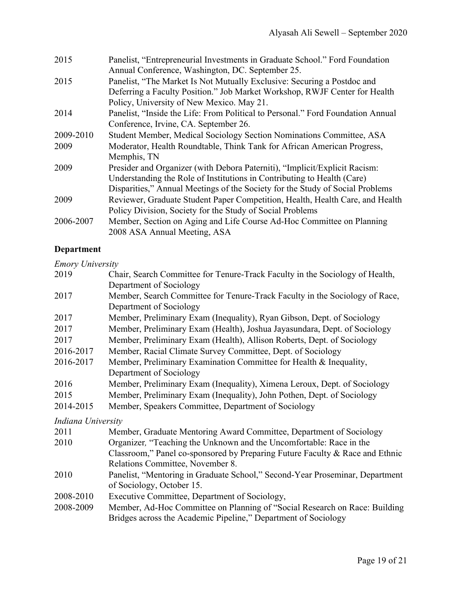| 2015      | Panelist, "Entrepreneurial Investments in Graduate School." Ford Foundation     |
|-----------|---------------------------------------------------------------------------------|
|           | Annual Conference, Washington, DC. September 25.                                |
| 2015      | Panelist, "The Market Is Not Mutually Exclusive: Securing a Postdoc and         |
|           | Deferring a Faculty Position." Job Market Workshop, RWJF Center for Health      |
|           | Policy, University of New Mexico. May 21.                                       |
| 2014      | Panelist, "Inside the Life: From Political to Personal." Ford Foundation Annual |
|           | Conference, Irvine, CA. September 26.                                           |
| 2009-2010 | Student Member, Medical Sociology Section Nominations Committee, ASA            |
| 2009      | Moderator, Health Roundtable, Think Tank for African American Progress,         |
|           | Memphis, TN                                                                     |
| 2009      | Presider and Organizer (with Debora Paterniti), "Implicit/Explicit Racism:      |
|           | Understanding the Role of Institutions in Contributing to Health (Care)         |
|           | Disparities," Annual Meetings of the Society for the Study of Social Problems   |
| 2009      | Reviewer, Graduate Student Paper Competition, Health, Health Care, and Health   |
|           | Policy Division, Society for the Study of Social Problems                       |
| 2006-2007 | Member, Section on Aging and Life Course Ad-Hoc Committee on Planning           |
|           | 2008 ASA Annual Meeting, ASA                                                    |

# **Department**

*Emory University*

| 2019               | Chair, Search Committee for Tenure-Track Faculty in the Sociology of Health, |
|--------------------|------------------------------------------------------------------------------|
|                    | Department of Sociology                                                      |
| 2017               | Member, Search Committee for Tenure-Track Faculty in the Sociology of Race,  |
|                    | Department of Sociology                                                      |
| 2017               | Member, Preliminary Exam (Inequality), Ryan Gibson, Dept. of Sociology       |
| 2017               | Member, Preliminary Exam (Health), Joshua Jayasundara, Dept. of Sociology    |
| 2017               | Member, Preliminary Exam (Health), Allison Roberts, Dept. of Sociology       |
| 2016-2017          | Member, Racial Climate Survey Committee, Dept. of Sociology                  |
| 2016-2017          | Member, Preliminary Examination Committee for Health & Inequality,           |
|                    | Department of Sociology                                                      |
| 2016               | Member, Preliminary Exam (Inequality), Ximena Leroux, Dept. of Sociology     |
| 2015               | Member, Preliminary Exam (Inequality), John Pothen, Dept. of Sociology       |
| 2014-2015          | Member, Speakers Committee, Department of Sociology                          |
| Indiana University |                                                                              |
| 2011               | Member, Graduate Mentoring Award Committee, Department of Sociology          |
| 2010               | Organizer, "Teaching the Unknown and the Uncomfortable: Race in the          |
|                    | Classroom," Panel co-sponsored by Preparing Future Faculty & Race and Ethnic |
|                    | Relations Committee, November 8.                                             |
| 2010               | Panelist, "Mentoring in Graduate School," Second-Year Proseminar, Department |
|                    | of Sociology, October 15.                                                    |
| 2008-2010          | Executive Committee, Department of Sociology,                                |
| 2008-2009          | Member, Ad-Hoc Committee on Planning of "Social Research on Race: Building   |
|                    | Bridges across the Academic Pipeline," Department of Sociology               |
|                    |                                                                              |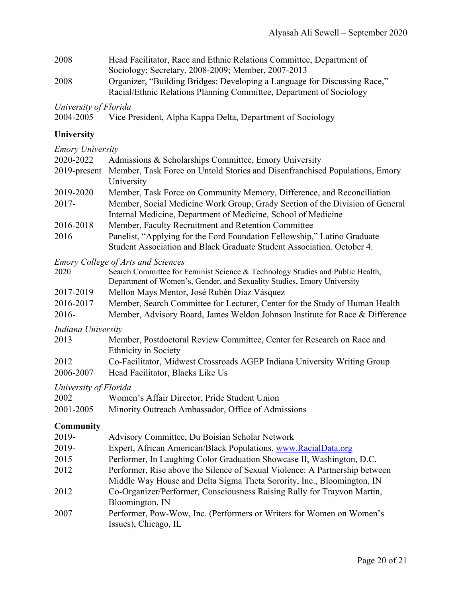2008 Head Facilitator, Race and Ethnic Relations Committee, Department of Sociology; Secretary, 2008-2009; Member, 2007-2013 2008 Organizer, "Building Bridges: Developing a Language for Discussing Race," Racial/Ethnic Relations Planning Committee, Department of Sociology

#### *University of Florida*

2004-2005 Vice President, Alpha Kappa Delta, Department of Sociology

# **University**

| <b>Emory University</b> |                                                                                                                                                         |
|-------------------------|---------------------------------------------------------------------------------------------------------------------------------------------------------|
| 2020-2022               | Admissions & Scholarships Committee, Emory University                                                                                                   |
| 2019-present            | Member, Task Force on Untold Stories and Disenfranchised Populations, Emory<br>University                                                               |
| 2019-2020               | Member, Task Force on Community Memory, Difference, and Reconciliation                                                                                  |
| $2017 -$                | Member, Social Medicine Work Group, Grady Section of the Division of General<br>Internal Medicine, Department of Medicine, School of Medicine           |
| 2016-2018               | Member, Faculty Recruitment and Retention Committee                                                                                                     |
| 2016                    | Panelist, "Applying for the Ford Foundation Fellowship," Latino Graduate<br>Student Association and Black Graduate Student Association. October 4.      |
|                         | <b>Emory College of Arts and Sciences</b>                                                                                                               |
| 2020                    | Search Committee for Feminist Science & Technology Studies and Public Health,<br>Department of Women's, Gender, and Sexuality Studies, Emory University |
| 2017-2019               | Mellon Mays Mentor, José Rubén Díaz Vásquez                                                                                                             |
| 2016-2017               | Member, Search Committee for Lecturer, Center for the Study of Human Health                                                                             |
| 2016-                   | Member, Advisory Board, James Weldon Johnson Institute for Race & Difference                                                                            |
| Indiana University      |                                                                                                                                                         |
| 2013                    | Member, Postdoctoral Review Committee, Center for Research on Race and<br><b>Ethnicity in Society</b>                                                   |
| 2012                    | Co-Facilitator, Midwest Crossroads AGEP Indiana University Writing Group                                                                                |
| 2006-2007               | Head Facilitator, Blacks Like Us                                                                                                                        |
| University of Florida   |                                                                                                                                                         |
| 2002                    | Women's Affair Director, Pride Student Union                                                                                                            |
| 2001-2005               | Minority Outreach Ambassador, Office of Admissions                                                                                                      |
| <b>Community</b>        |                                                                                                                                                         |
| 2019-                   | Advisory Committee, Du Boisian Scholar Network                                                                                                          |
| 2019-                   | Expert, African American/Black Populations, www.RacialData.org                                                                                          |
| 2015                    | Performer, In Laughing Color Graduation Showcase II, Washington, D.C.                                                                                   |
| 2012                    | Performer, Rise above the Silence of Sexual Violence: A Partnership between                                                                             |
|                         | Middle Way House and Delta Sigma Theta Sorority, Inc., Bloomington, IN                                                                                  |
| 2012                    | Co-Organizer/Performer, Consciousness Raising Rally for Trayvon Martin,<br>Bloomington, IN                                                              |
| 2007                    | Performer, Pow-Wow, Inc. (Performers or Writers for Women on Women's<br>Issues), Chicago, IL                                                            |